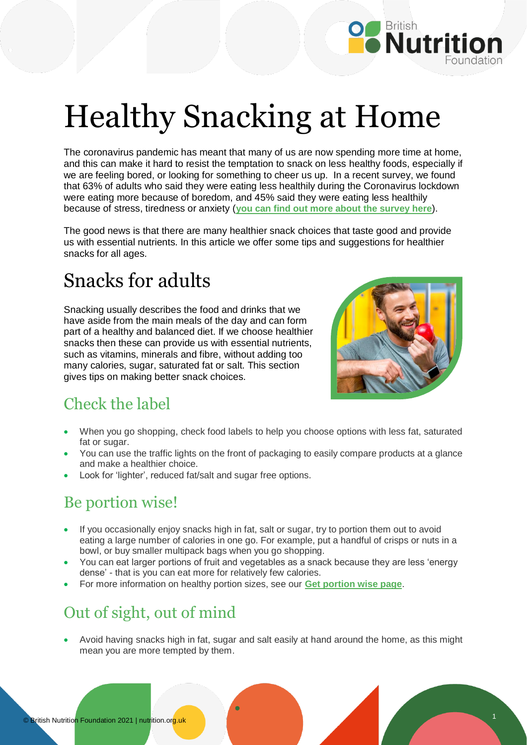

# Healthy Snacking at Home

The coronavirus pandemic has meant that many of us are now spending more time at home, and this can make it hard to resist the temptation to snack on less healthy foods, especially if we are feeling bored, or looking for something to cheer us up. In a recent survey, we found that 63% of adults who said they were eating less healthily during the Coronavirus lockdown were eating more because of boredom, and 45% said they were eating less healthily because of stress, tiredness or anxiety (**[you can find out more about the survey here](https://www.nutrition.org.uk/news/2020/bnf-survey-reveals-stress-anxiety-tiredness-and-boredom-are-the-main-causes-of-unhealthy-eating-habits-in-lockdown/)**).

The good news is that there are many healthier snack choices that taste good and provide us with essential nutrients. In this article we offer some tips and suggestions for healthier snacks for all ages.

# Snacks for adults

Snacking usually describes the food and drinks that we have aside from the main meals of the day and can form part of a healthy and balanced diet. If we choose healthier snacks then these can provide us with essential nutrients, such as vitamins, minerals and fibre, without adding too many calories, sugar, saturated fat or salt. This section gives tips on making better snack choices.



## Check the label

- When you go shopping, check food labels to help you choose options with less fat, saturated fat or sugar.
- You can use the traffic lights on the front of packaging to easily compare products at a glance and make a healthier choice.
- Look for 'lighter', reduced fat/salt and sugar free options.

## Be portion wise!

- If you occasionally enjoy snacks high in fat, salt or sugar, try to portion them out to avoid eating a large number of calories in one go. For example, put a handful of crisps or nuts in a bowl, or buy smaller multipack bags when you go shopping.
- You can eat larger portions of fruit and vegetables as a snack because they are less 'energy dense' - that is you can eat more for relatively few calories.
- For more information on healthy portion sizes, see our **[Get portion wise page](https://www.nutrition.org.uk/putting-it-into-practice/balancing-the-diet/get-portion-wise/)**.

## Out of sight, out of mind

 Avoid having snacks high in fat, sugar and salt easily at hand around the home, as this might mean you are more tempted by them.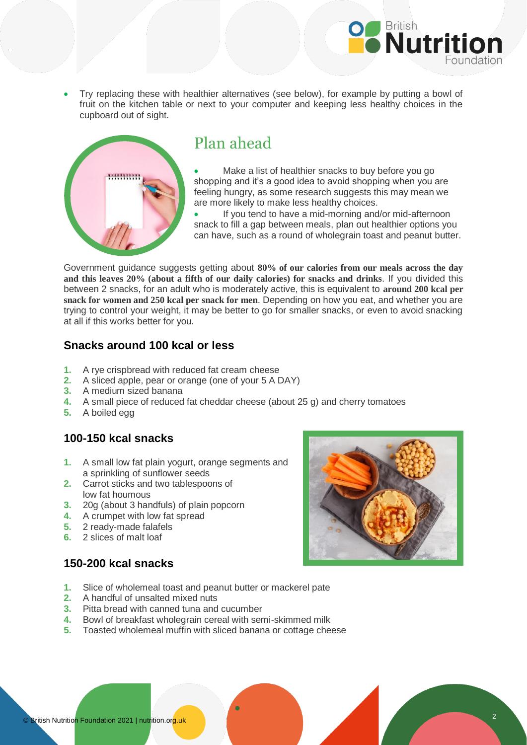

 Try replacing these with healthier alternatives (see below), for example by putting a bowl of fruit on the kitchen table or next to your computer and keeping less healthy choices in the cupboard out of sight.



#### Plan ahead

 Make a list of healthier snacks to buy before you go shopping and it's a good idea to avoid shopping when you are feeling hungry, as some research suggests this may mean we are more likely to make less healthy choices.

 If you tend to have a mid-morning and/or mid-afternoon snack to fill a gap between meals, plan out healthier options you can have, such as a round of wholegrain toast and peanut butter.

Government guidance suggests getting about **80% of our calories from our meals across the day and this leaves 20% (about a fifth of our daily calories) for snacks and drinks**. If you divided this between 2 snacks, for an adult who is moderately active, this is equivalent to **around 200 kcal per snack for women and 250 kcal per snack for men**. Depending on how you eat, and whether you are trying to control your weight, it may be better to go for smaller snacks, or even to avoid snacking at all if this works better for you.

#### **Snacks around 100 kcal or less**

- **1.** A rye crispbread with reduced fat cream cheese
- **2.** A sliced apple, pear or orange (one of your 5 A DAY)
- **3.** A medium sized banana
- **4.** A small piece of reduced fat cheddar cheese (about 25 g) and cherry tomatoes
- **5.** A boiled egg

#### **100-150 kcal snacks**

- **1.** A small low fat plain yogurt, orange segments and a sprinkling of sunflower seeds
- **2.** Carrot sticks and two tablespoons of low fat houmous
- **3.** 20g (about 3 handfuls) of plain popcorn
- **4.** A crumpet with low fat spread
- **5.** 2 ready-made falafels
- **6.** 2 slices of malt loaf

#### **150-200 kcal snacks**

- **1.** Slice of wholemeal toast and peanut butter or mackerel pate
- **2.** A handful of unsalted mixed nuts
- **3.** Pitta bread with canned tuna and cucumber
- **4.** Bowl of breakfast wholegrain cereal with semi-skimmed milk
- **5.** Toasted wholemeal muffin with sliced banana or cottage cheese